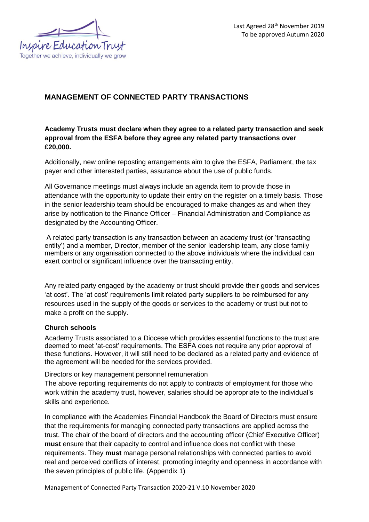

# **MANAGEMENT OF CONNECTED PARTY TRANSACTIONS**

# **Academy Trusts must declare when they agree to a related party transaction and seek approval from the ESFA before they agree any related party transactions over £20,000.**

Additionally, new online reposting arrangements aim to give the ESFA, Parliament, the tax payer and other interested parties, assurance about the use of public funds.

All Governance meetings must always include an agenda item to provide those in attendance with the opportunity to update their entry on the register on a timely basis. Those in the senior leadership team should be encouraged to make changes as and when they arise by notification to the Finance Officer – Financial Administration and Compliance as designated by the Accounting Officer.

A related party transaction is any transaction between an academy trust (or 'transacting entity') and a member, Director, member of the senior leadership team, any close family members or any organisation connected to the above individuals where the individual can exert control or significant influence over the transacting entity.

Any related party engaged by the academy or trust should provide their goods and services 'at cost'. The 'at cost' requirements limit related party suppliers to be reimbursed for any resources used in the supply of the goods or services to the academy or trust but not to make a profit on the supply.

## **Church schools**

Academy Trusts associated to a Diocese which provides essential functions to the trust are deemed to meet 'at-cost' requirements. The ESFA does not require any prior approval of these functions. However, it will still need to be declared as a related party and evidence of the agreement will be needed for the services provided.

Directors or key management personnel remuneration

The above reporting requirements do not apply to contracts of employment for those who work within the academy trust, however, salaries should be appropriate to the individual's skills and experience.

In compliance with the Academies Financial Handbook the Board of Directors must ensure that the requirements for managing connected party transactions are applied across the trust. The chair of the board of directors and the accounting officer (Chief Executive Officer) **must** ensure that their capacity to control and influence does not conflict with these requirements. They **must** manage personal relationships with connected parties to avoid real and perceived conflicts of interest, promoting integrity and openness in accordance with the seven principles of public life. (Appendix 1)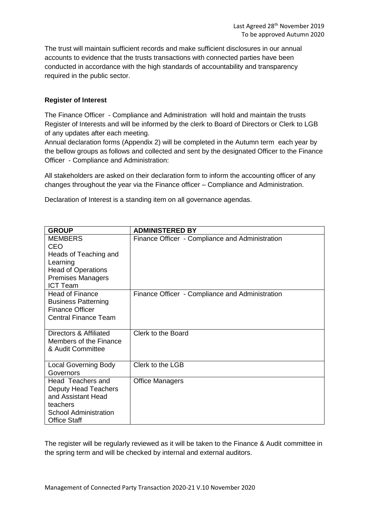The trust will maintain sufficient records and make sufficient disclosures in our annual accounts to evidence that the trusts transactions with connected parties have been conducted in accordance with the high standards of accountability and transparency required in the public sector.

### **Register of Interest**

The Finance Officer - Compliance and Administration will hold and maintain the trusts Register of Interests and will be informed by the clerk to Board of Directors or Clerk to LGB of any updates after each meeting.

Annual declaration forms (Appendix 2) will be completed in the Autumn term each year by the bellow groups as follows and collected and sent by the designated Officer to the Finance Officer - Compliance and Administration:

All stakeholders are asked on their declaration form to inform the accounting officer of any changes throughout the year via the Finance officer – Compliance and Administration.

Declaration of Interest is a standing item on all governance agendas.

| <b>GROUP</b>                | <b>ADMINISTERED BY</b>                          |
|-----------------------------|-------------------------------------------------|
| <b>MEMBERS</b>              | Finance Officer - Compliance and Administration |
| <b>CEO</b>                  |                                                 |
| Heads of Teaching and       |                                                 |
| Learning                    |                                                 |
| <b>Head of Operations</b>   |                                                 |
| <b>Premises Managers</b>    |                                                 |
| <b>ICT Team</b>             |                                                 |
| <b>Head of Finance</b>      | Finance Officer - Compliance and Administration |
| <b>Business Patterning</b>  |                                                 |
| <b>Finance Officer</b>      |                                                 |
| <b>Central Finance Team</b> |                                                 |
| Directors & Affiliated      | Clerk to the Board                              |
| Members of the Finance      |                                                 |
| & Audit Committee           |                                                 |
|                             |                                                 |
| <b>Local Governing Body</b> | Clerk to the LGB                                |
| Governors                   |                                                 |
| Head Teachers and           | <b>Office Managers</b>                          |
| Deputy Head Teachers        |                                                 |
| and Assistant Head          |                                                 |
| teachers                    |                                                 |
| School Administration       |                                                 |
| <b>Office Staff</b>         |                                                 |

The register will be regularly reviewed as it will be taken to the Finance & Audit committee in the spring term and will be checked by internal and external auditors.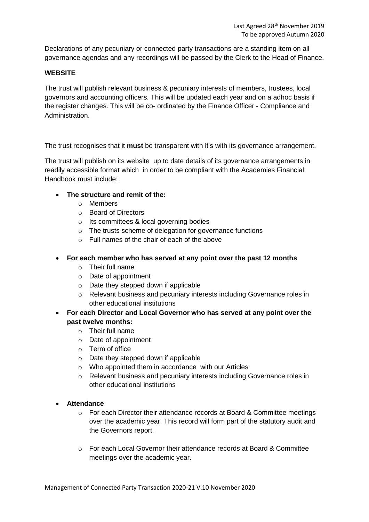Declarations of any pecuniary or connected party transactions are a standing item on all governance agendas and any recordings will be passed by the Clerk to the Head of Finance.

## **WEBSITE**

The trust will publish relevant business & pecuniary interests of members, trustees, local governors and accounting officers. This will be updated each year and on a adhoc basis if the register changes. This will be co- ordinated by the Finance Officer - Compliance and Administration.

The trust recognises that it **must** be transparent with it's with its governance arrangement.

The trust will publish on its website up to date details of its governance arrangements in readily accessible format which in order to be compliant with the Academies Financial Handbook must include:

- **The structure and remit of the:** 
	- o Members
	- o Board of Directors
	- o Its committees & local governing bodies
	- o The trusts scheme of delegation for governance functions
	- o Full names of the chair of each of the above
- **For each member who has served at any point over the past 12 months** 
	- o Their full name
	- o Date of appointment
	- o Date they stepped down if applicable
	- o Relevant business and pecuniary interests including Governance roles in other educational institutions
- **For each Director and Local Governor who has served at any point over the past twelve months:**
	- o Their full name
	- o Date of appointment
	- o Term of office
	- o Date they stepped down if applicable
	- o Who appointed them in accordance with our Articles
	- o Relevant business and pecuniary interests including Governance roles in other educational institutions

## • **Attendance**

- o For each Director their attendance records at Board & Committee meetings over the academic year. This record will form part of the statutory audit and the Governors report.
- o For each Local Governor their attendance records at Board & Committee meetings over the academic year.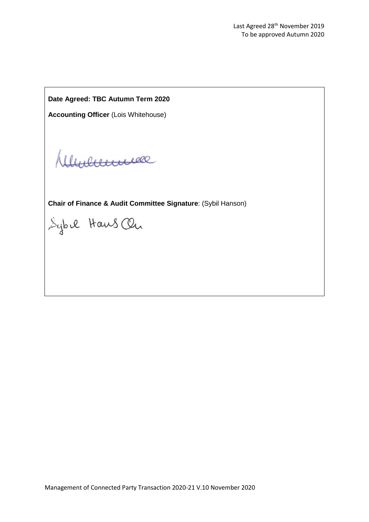**Date Agreed: TBC Autumn Term 2020**

**Accounting Officer** (Lois Whitehouse)

Munnne

**Chair of Finance & Audit Committee Signature**: (Sybil Hanson)

Sybil Haws On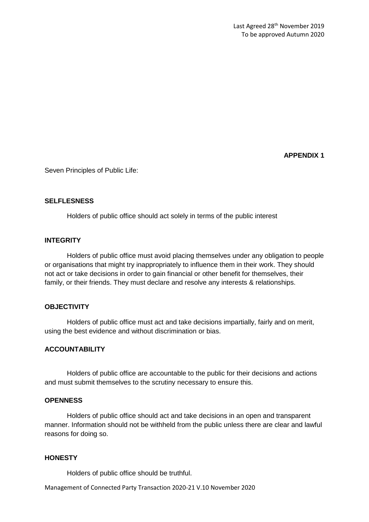**APPENDIX 1**

Seven Principles of Public Life:

### **SELFLESNESS**

Holders of public office should act solely in terms of the public interest

### **INTEGRITY**

Holders of public office must avoid placing themselves under any obligation to people or organisations that might try inappropriately to influence them in their work. They should not act or take decisions in order to gain financial or other benefit for themselves, their family, or their friends. They must declare and resolve any interests & relationships.

## **OBJECTIVITY**

Holders of public office must act and take decisions impartially, fairly and on merit, using the best evidence and without discrimination or bias.

## **ACCOUNTABILITY**

Holders of public office are accountable to the public for their decisions and actions and must submit themselves to the scrutiny necessary to ensure this.

#### **OPENNESS**

Holders of public office should act and take decisions in an open and transparent manner. Information should not be withheld from the public unless there are clear and lawful reasons for doing so.

### **HONESTY**

Holders of public office should be truthful.

Management of Connected Party Transaction 2020-21 V.10 November 2020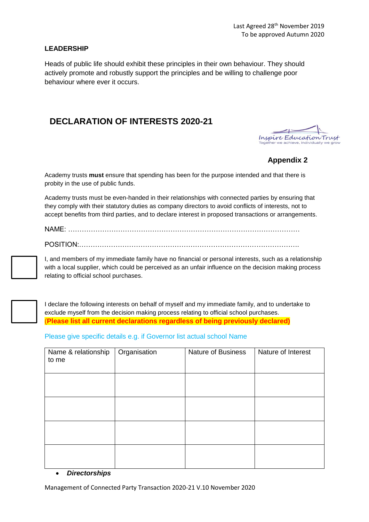### **LEADERSHIP**

Heads of public life should exhibit these principles in their own behaviour. They should actively promote and robustly support the principles and be willing to challenge poor behaviour where ever it occurs.

# **DECLARATION OF INTERESTS 2020-21**

Inspire Education Trust

## **Appendix 2**

Academy trusts **must** ensure that spending has been for the purpose intended and that there is probity in the use of public funds.

Academy trusts must be even-handed in their relationships with connected parties by ensuring that they comply with their statutory duties as company directors to avoid conflicts of interests, not to accept benefits from third parties, and to declare interest in proposed transactions or arrangements.

NAME: …………………………………………………………………………………………

POSITION:…………………………………………………………………………………….

I, and members of my immediate family have no financial or personal interests, such as a relationship with a local supplier, which could be perceived as an unfair influence on the decision making process relating to official school purchases.

I declare the following interests on behalf of myself and my immediate family, and to undertake to exclude myself from the decision making process relating to official school purchases. (**Please list all current declarations regardless of being previously declared)**

Please give specific details e.g. if Governor list actual school Name

| Name & relationship<br>to me | Organisation | <b>Nature of Business</b> | Nature of Interest |
|------------------------------|--------------|---------------------------|--------------------|
|                              |              |                           |                    |
|                              |              |                           |                    |
|                              |              |                           |                    |
|                              |              |                           |                    |

#### • *Directorships*

Management of Connected Party Transaction 2020-21 V.10 November 2020